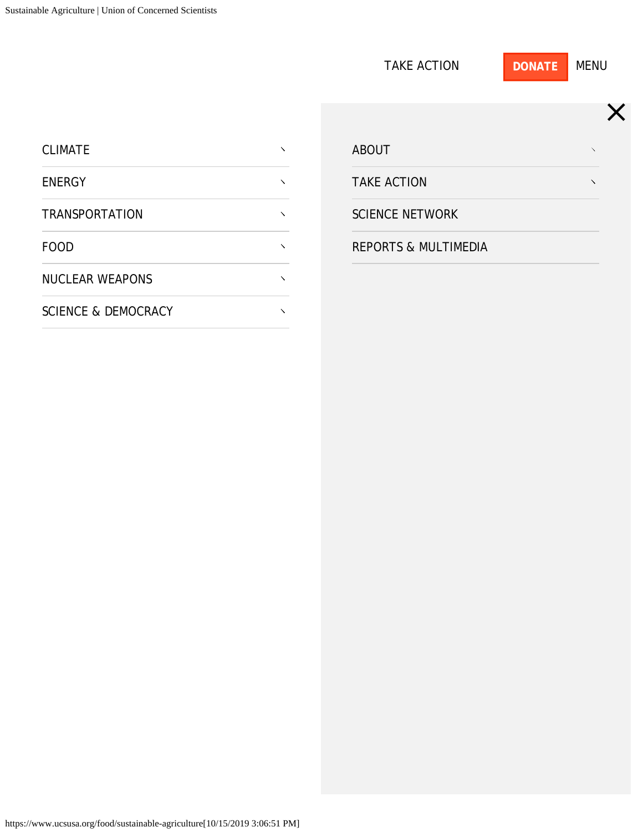<span id="page-0-0"></span>

|                                |                            | <b>TAKE ACTION</b>              | <b>MENU</b><br><b>DONATE</b> |
|--------------------------------|----------------------------|---------------------------------|------------------------------|
|                                |                            |                                 | X                            |
| <b>CLIMATE</b>                 | $\boldsymbol{\mathcal{N}}$ | <b>ABOUT</b>                    | $\lambda$                    |
| <b>ENERGY</b>                  | $\boldsymbol{\mathcal{N}}$ | <b>TAKE ACTION</b>              | $\lambda$                    |
| <b>TRANSPORTATION</b>          | $\boldsymbol{\mathcal{N}}$ | <b>SCIENCE NETWORK</b>          |                              |
| <b>FOOD</b>                    | $\boldsymbol{\checkmark}$  | <b>REPORTS &amp; MULTIMEDIA</b> |                              |
| <b>NUCLEAR WEAPONS</b>         | $\boldsymbol{\mathcal{N}}$ |                                 |                              |
| <b>SCIENCE &amp; DEMOCRACY</b> | $\boldsymbol{\mathcal{N}}$ |                                 |                              |
|                                |                            |                                 |                              |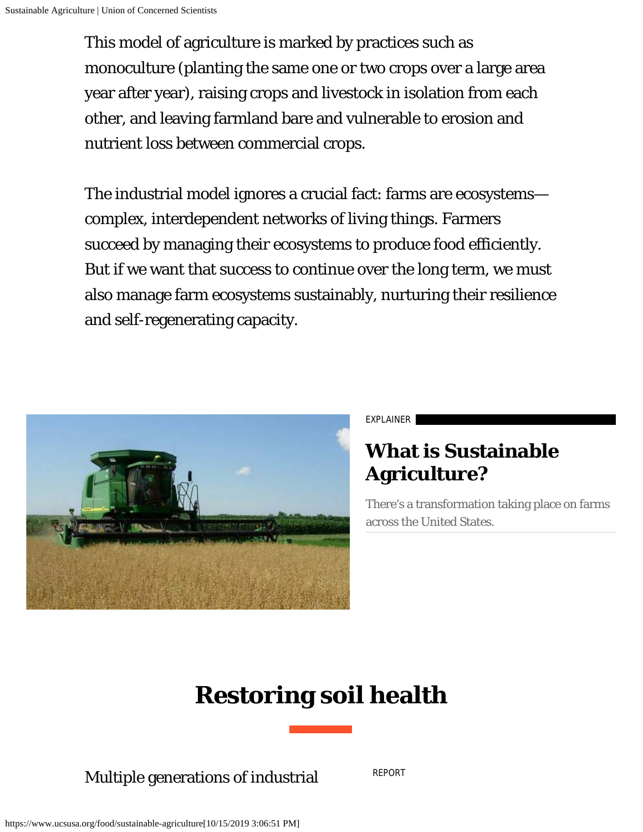<span id="page-1-0"></span>This model of agriculture is marked by practices such as monoculture (planting the same one or two crops over a large area year after year), raising crops and livestock in isolation from each other, and leaving farmland bare and vulnerable to erosion and nutrient loss between commercial crops.

The industrial model ignores a crucial fact: farms are ecosystems complex, interdependent networks of living things. Farmers succeed by managing their ecosystems to produce food efficiently. But if we want that success to continue over the long term, we must also manage farm ecosystems sustainably, nurturing their resilience and self-regenerating capacity.



EXPLAINER

#### **[What is Sustainable](https://www.ucsusa.org/resources/what-sustainable-agriculture) [Agriculture?](https://www.ucsusa.org/resources/what-sustainable-agriculture)**

There's a transformation taking place on farms across the United States.

# **Restoring soil health**

Multiple generations of industrial

[REPORT](https://www.ucsusa.org/resources/turning-soils-sponges)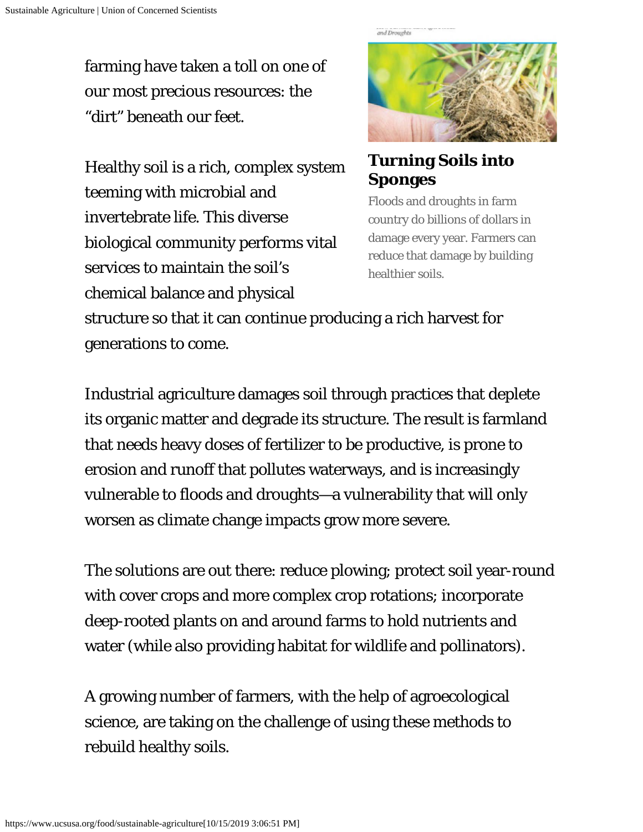farming have taken a toll on one of our most precious resources: the "dirt" beneath our feet.

Healthy soil is a rich, complex system teeming with microbial and invertebrate life. This diverse biological community performs vital services to maintain the soil's chemical balance and physical



**[Turning Soils into](https://www.ucsusa.org/resources/turning-soils-sponges) [Sponges](https://www.ucsusa.org/resources/turning-soils-sponges)**

Floods and droughts in farm country do billions of dollars in damage every year. Farmers can reduce that damage by building healthier soils.

structure so that it can continue producing a rich harvest for generations to come.

Industrial agriculture damages soil through practices that deplete its organic matter and degrade its structure. The result is farmland that needs heavy doses of fertilizer to be productive, is prone to erosion and runoff that pollutes waterways, and is increasingly vulnerable to floods and droughts—a vulnerability that will only worsen as climate change impacts grow more severe.

The solutions are out there: reduce plowing; protect soil year-round with cover crops and more complex crop rotations; incorporate deep-rooted plants on and around farms to hold nutrients and water (while also providing habitat for wildlife and pollinators).

A growing number of farmers, with the help of agroecological science, are taking on the challenge of using these methods to rebuild healthy soils.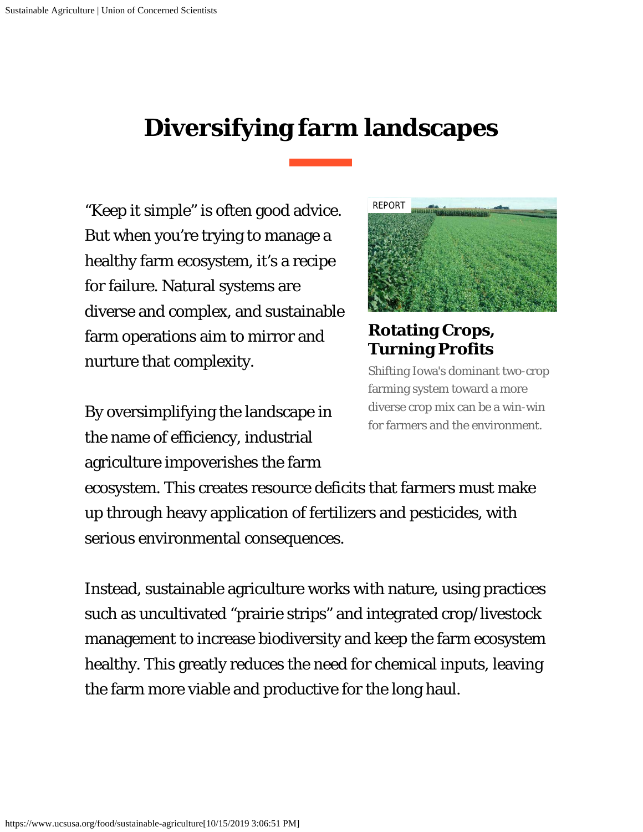### **Diversifying farm landscapes**

"Keep it simple" is often good advice. But when you're trying to manage a healthy farm ecosystem, it's a recipe for failure. Natural systems are diverse and complex, and sustainable farm operations aim to mirror and nurture that complexity.

By oversimplifying the landscape in the name of efficiency, industrial agriculture impoverishes the farm



**[Rotating Crops,](https://www.ucsusa.org/resources/rotating-crops-turning-profits) [Turning Profits](https://www.ucsusa.org/resources/rotating-crops-turning-profits)**

Shifting Iowa's dominant two-crop farming system toward a more diverse crop mix can be a win-win for farmers and the environment.

ecosystem. This creates resource deficits that farmers must make up through heavy application of fertilizers and pesticides, with serious environmental consequences.

Instead, sustainable agriculture works with nature, using practices such as uncultivated "prairie strips" and integrated crop/livestock management to increase biodiversity and keep the farm ecosystem healthy. This greatly reduces the need for chemical inputs, leaving the farm more viable and productive for the long haul.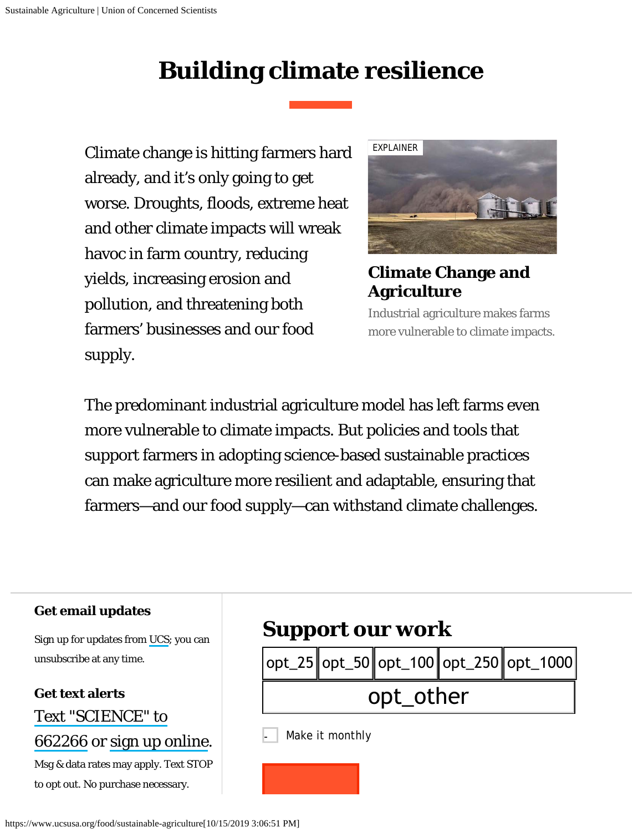## **Building climate resilience**

Climate change is hitting farmers hard already, and it's only going to get worse. Droughts, floods, extreme heat and other climate impacts will wreak havoc in farm country, reducing yields, increasing erosion and pollution, and threatening both farmers' businesses and our food supply.



#### **[Climate Change and](https://www.ucsusa.org/resources/climate-change-and-agriculture) [Agriculture](https://www.ucsusa.org/resources/climate-change-and-agriculture)**

Industrial agriculture makes farms more vulnerable to climate impacts.

The predominant industrial agriculture model has left farms even more vulnerable to climate impacts. But policies and tools that support farmers in adopting science-based sustainable practices can make agriculture more resilient and adaptable, ensuring that farmers—and our food supply—can withstand climate challenges.

| <b>Get email updates</b><br>Sign up for updates from UCS; you can           | <b>Support our work</b>      |  |  |  |                                                                                  |  |
|-----------------------------------------------------------------------------|------------------------------|--|--|--|----------------------------------------------------------------------------------|--|
| unsubscribe at any time.                                                    |                              |  |  |  | $\mid$ opt_25 $\mid$ opt_50 $\mid$ opt_100 $\mid$ opt_250 $\mid$ opt_1000 $\mid$ |  |
| <b>Get text alerts</b><br>Text "SCIENCE" to                                 | opt_other<br>Make it monthly |  |  |  |                                                                                  |  |
| 662266 or sign up online.                                                   |                              |  |  |  |                                                                                  |  |
| Msg & data rates may apply. Text STOP<br>to opt out. No purchase necessary. |                              |  |  |  |                                                                                  |  |